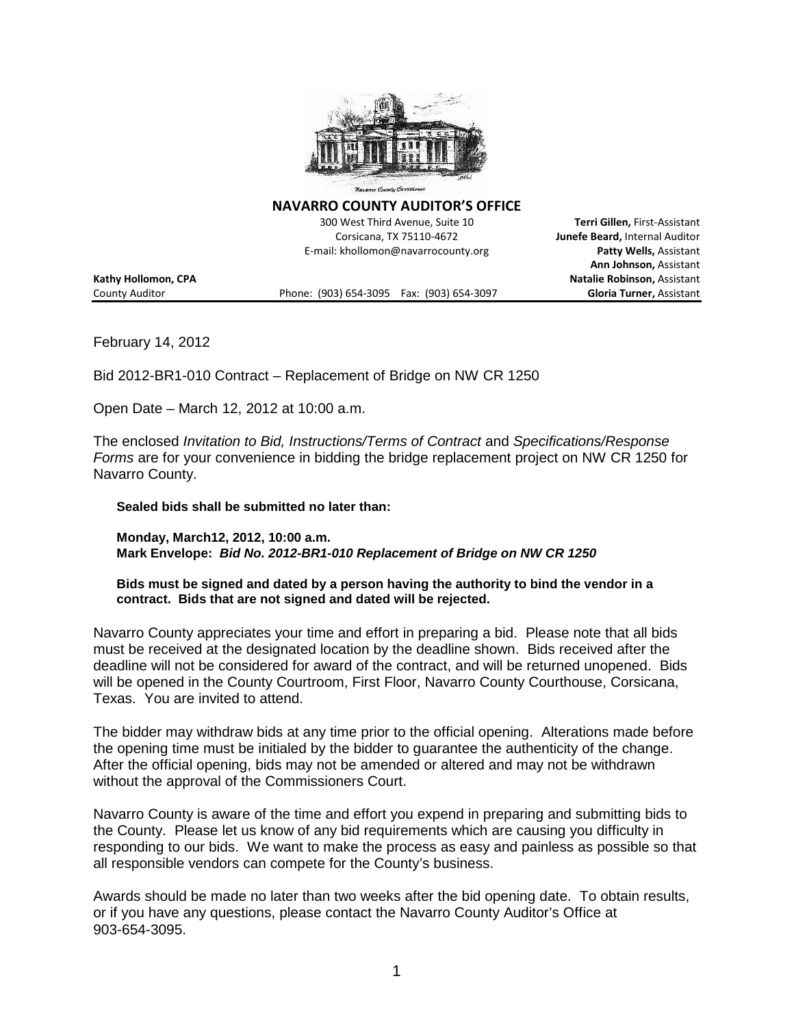

**NAVARRO COUNTY AUDITOR'S OFFICE**

300 West Third Avenue, Suite 10 **Terri Gillen,** First-Assistant Corsicana, TX 75110-4672 **Junefe Beard,** Internal Auditor E-mail: khollomon@navarrocounty.org **Patty Wells,** Assistant

County Auditor Phone: (903) 654-3095 Fax: (903) 654-3097 **Gloria Turner,** Assistant

**Ann Johnson,** Assistant **Kathy Hollomon, CPA Natalie Robinson,** Assistant

February 14, 2012

Bid 2012-BR1-010 Contract – Replacement of Bridge on NW CR 1250

Open Date – March 12, 2012 at 10:00 a.m.

The enclosed *Invitation to Bid, Instructions/Terms of Contract* and *Specifications/Response Forms* are for your convenience in bidding the bridge replacement project on NW CR 1250 for Navarro County.

**Sealed bids shall be submitted no later than:**

**Monday, March12, 2012, 10:00 a.m. Mark Envelope:** *Bid No. 2012-BR1-010 Replacement of Bridge on NW CR 1250*

**Bids must be signed and dated by a person having the authority to bind the vendor in a contract. Bids that are not signed and dated will be rejected.**

Navarro County appreciates your time and effort in preparing a bid. Please note that all bids must be received at the designated location by the deadline shown. Bids received after the deadline will not be considered for award of the contract, and will be returned unopened. Bids will be opened in the County Courtroom, First Floor, Navarro County Courthouse, Corsicana, Texas. You are invited to attend.

The bidder may withdraw bids at any time prior to the official opening. Alterations made before the opening time must be initialed by the bidder to guarantee the authenticity of the change. After the official opening, bids may not be amended or altered and may not be withdrawn without the approval of the Commissioners Court.

Navarro County is aware of the time and effort you expend in preparing and submitting bids to the County. Please let us know of any bid requirements which are causing you difficulty in responding to our bids. We want to make the process as easy and painless as possible so that all responsible vendors can compete for the County's business.

Awards should be made no later than two weeks after the bid opening date. To obtain results, or if you have any questions, please contact the Navarro County Auditor's Office at 903-654-3095.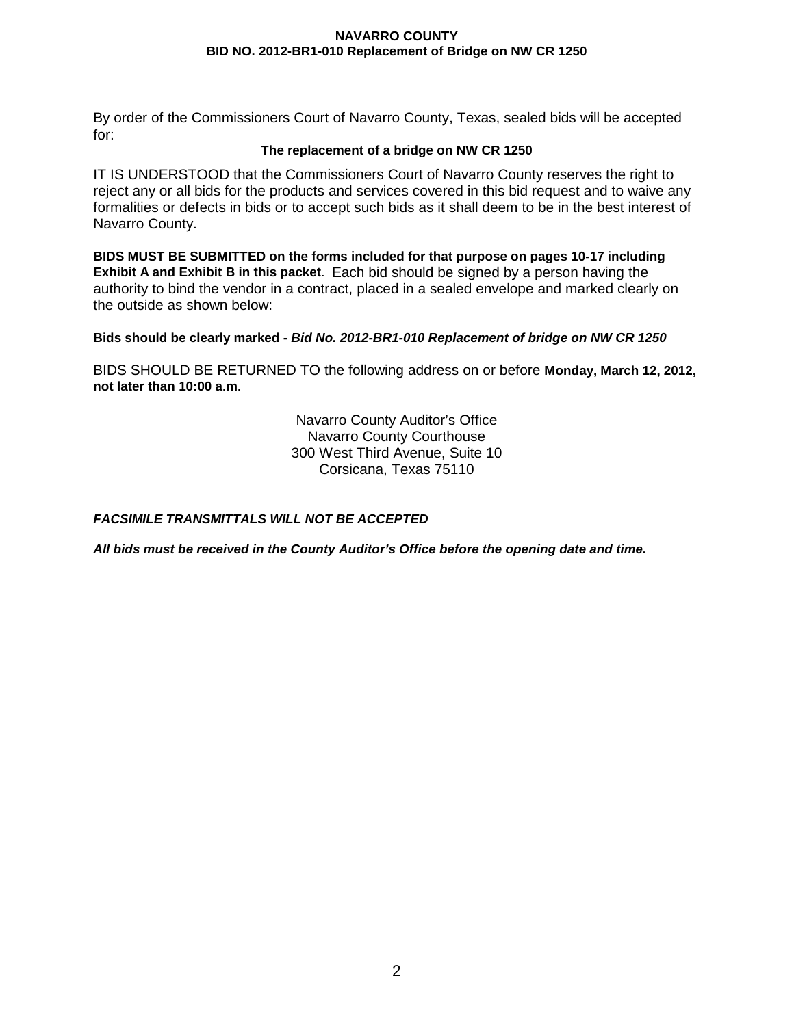By order of the Commissioners Court of Navarro County, Texas, sealed bids will be accepted for:

#### **The replacement of a bridge on NW CR 1250**

IT IS UNDERSTOOD that the Commissioners Court of Navarro County reserves the right to reject any or all bids for the products and services covered in this bid request and to waive any formalities or defects in bids or to accept such bids as it shall deem to be in the best interest of Navarro County.

**BIDS MUST BE SUBMITTED on the forms included for that purpose on pages 10-17 including Exhibit A and Exhibit B in this packet**. Each bid should be signed by a person having the authority to bind the vendor in a contract, placed in a sealed envelope and marked clearly on the outside as shown below:

**Bids should be clearly marked -** *Bid No. 2012-BR1-010 Replacement of bridge on NW CR 1250*

BIDS SHOULD BE RETURNED TO the following address on or before **Monday, March 12, 2012, not later than 10:00 a.m.**

> Navarro County Auditor's Office Navarro County Courthouse 300 West Third Avenue, Suite 10 Corsicana, Texas 75110

## *FACSIMILE TRANSMITTALS WILL NOT BE ACCEPTED*

*All bids must be received in the County Auditor's Office before the opening date and time.*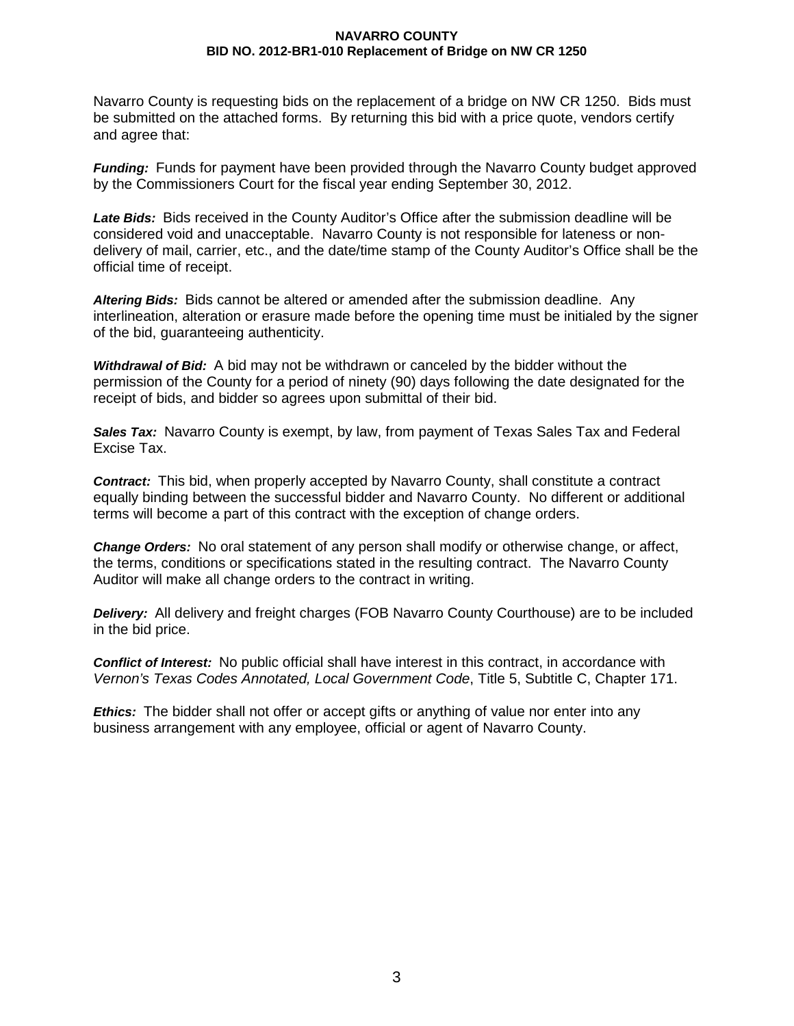Navarro County is requesting bids on the replacement of a bridge on NW CR 1250. Bids must be submitted on the attached forms. By returning this bid with a price quote, vendors certify and agree that:

*Funding:* Funds for payment have been provided through the Navarro County budget approved by the Commissioners Court for the fiscal year ending September 30, 2012.

*Late Bids:* Bids received in the County Auditor's Office after the submission deadline will be considered void and unacceptable. Navarro County is not responsible for lateness or nondelivery of mail, carrier, etc., and the date/time stamp of the County Auditor's Office shall be the official time of receipt.

*Altering Bids:* Bids cannot be altered or amended after the submission deadline. Any interlineation, alteration or erasure made before the opening time must be initialed by the signer of the bid, guaranteeing authenticity.

*Withdrawal of Bid:* A bid may not be withdrawn or canceled by the bidder without the permission of the County for a period of ninety (90) days following the date designated for the receipt of bids, and bidder so agrees upon submittal of their bid.

*Sales Tax:* Navarro County is exempt, by law, from payment of Texas Sales Tax and Federal Excise Tax.

*Contract:* This bid, when properly accepted by Navarro County, shall constitute a contract equally binding between the successful bidder and Navarro County. No different or additional terms will become a part of this contract with the exception of change orders.

*Change Orders:* No oral statement of any person shall modify or otherwise change, or affect, the terms, conditions or specifications stated in the resulting contract. The Navarro County Auditor will make all change orders to the contract in writing.

*Delivery:* All delivery and freight charges (FOB Navarro County Courthouse) are to be included in the bid price.

*Conflict of Interest:* No public official shall have interest in this contract, in accordance with *Vernon's Texas Codes Annotated, Local Government Code*, Title 5, Subtitle C, Chapter 171.

*Ethics:* The bidder shall not offer or accept gifts or anything of value nor enter into any business arrangement with any employee, official or agent of Navarro County.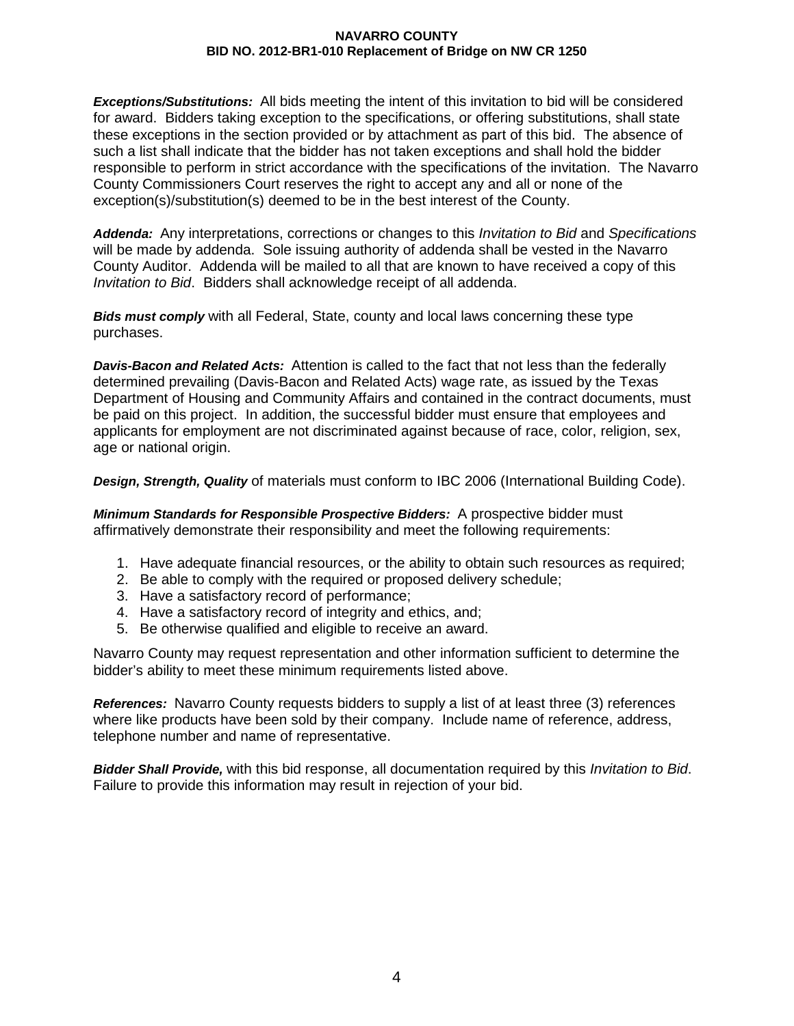*Exceptions/Substitutions:* All bids meeting the intent of this invitation to bid will be considered for award. Bidders taking exception to the specifications, or offering substitutions, shall state these exceptions in the section provided or by attachment as part of this bid. The absence of such a list shall indicate that the bidder has not taken exceptions and shall hold the bidder responsible to perform in strict accordance with the specifications of the invitation. The Navarro County Commissioners Court reserves the right to accept any and all or none of the exception(s)/substitution(s) deemed to be in the best interest of the County.

*Addenda:* Any interpretations, corrections or changes to this *Invitation to Bid* and *Specifications* will be made by addenda. Sole issuing authority of addenda shall be vested in the Navarro County Auditor. Addenda will be mailed to all that are known to have received a copy of this *Invitation to Bid*. Bidders shall acknowledge receipt of all addenda.

*Bids must comply* with all Federal, State, county and local laws concerning these type purchases.

*Davis-Bacon and Related Acts:* Attention is called to the fact that not less than the federally determined prevailing (Davis-Bacon and Related Acts) wage rate, as issued by the Texas Department of Housing and Community Affairs and contained in the contract documents, must be paid on this project. In addition, the successful bidder must ensure that employees and applicants for employment are not discriminated against because of race, color, religion, sex, age or national origin.

*Design, Strength, Quality* of materials must conform to IBC 2006 (International Building Code).

*Minimum Standards for Responsible Prospective Bidders:* A prospective bidder must affirmatively demonstrate their responsibility and meet the following requirements:

- 1. Have adequate financial resources, or the ability to obtain such resources as required;
- 2. Be able to comply with the required or proposed delivery schedule;
- 3. Have a satisfactory record of performance;
- 4. Have a satisfactory record of integrity and ethics, and;
- 5. Be otherwise qualified and eligible to receive an award.

Navarro County may request representation and other information sufficient to determine the bidder's ability to meet these minimum requirements listed above.

*References:* Navarro County requests bidders to supply a list of at least three (3) references where like products have been sold by their company. Include name of reference, address, telephone number and name of representative.

*Bidder Shall Provide,* with this bid response, all documentation required by this *Invitation to Bid*. Failure to provide this information may result in rejection of your bid.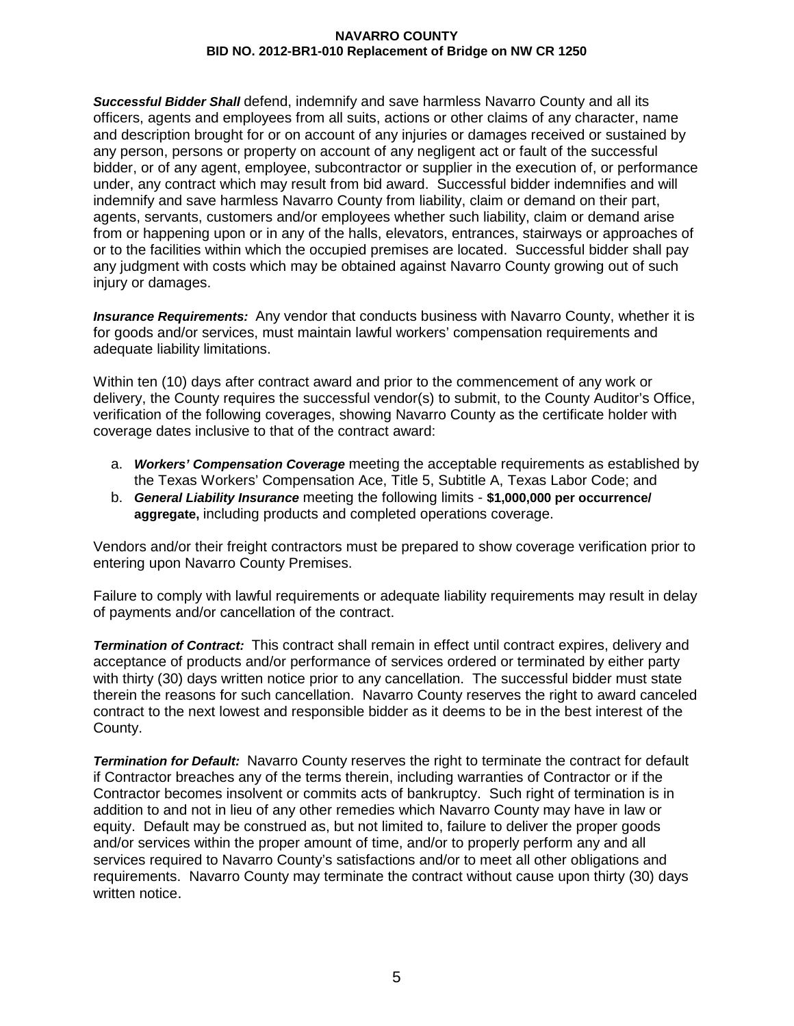*Successful Bidder Shall* defend, indemnify and save harmless Navarro County and all its officers, agents and employees from all suits, actions or other claims of any character, name and description brought for or on account of any injuries or damages received or sustained by any person, persons or property on account of any negligent act or fault of the successful bidder, or of any agent, employee, subcontractor or supplier in the execution of, or performance under, any contract which may result from bid award. Successful bidder indemnifies and will indemnify and save harmless Navarro County from liability, claim or demand on their part, agents, servants, customers and/or employees whether such liability, claim or demand arise from or happening upon or in any of the halls, elevators, entrances, stairways or approaches of or to the facilities within which the occupied premises are located. Successful bidder shall pay any judgment with costs which may be obtained against Navarro County growing out of such injury or damages.

*Insurance Requirements:* Any vendor that conducts business with Navarro County, whether it is for goods and/or services, must maintain lawful workers' compensation requirements and adequate liability limitations.

Within ten (10) days after contract award and prior to the commencement of any work or delivery, the County requires the successful vendor(s) to submit, to the County Auditor's Office, verification of the following coverages, showing Navarro County as the certificate holder with coverage dates inclusive to that of the contract award:

- a. *Workers' Compensation Coverage* meeting the acceptable requirements as established by the Texas Workers' Compensation Ace, Title 5, Subtitle A, Texas Labor Code; and
- b. *General Liability Insurance* meeting the following limits **\$1,000,000 per occurrence/ aggregate,** including products and completed operations coverage.

Vendors and/or their freight contractors must be prepared to show coverage verification prior to entering upon Navarro County Premises.

Failure to comply with lawful requirements or adequate liability requirements may result in delay of payments and/or cancellation of the contract.

*Termination of Contract:* This contract shall remain in effect until contract expires, delivery and acceptance of products and/or performance of services ordered or terminated by either party with thirty (30) days written notice prior to any cancellation. The successful bidder must state therein the reasons for such cancellation. Navarro County reserves the right to award canceled contract to the next lowest and responsible bidder as it deems to be in the best interest of the County.

*Termination for Default:* Navarro County reserves the right to terminate the contract for default if Contractor breaches any of the terms therein, including warranties of Contractor or if the Contractor becomes insolvent or commits acts of bankruptcy. Such right of termination is in addition to and not in lieu of any other remedies which Navarro County may have in law or equity. Default may be construed as, but not limited to, failure to deliver the proper goods and/or services within the proper amount of time, and/or to properly perform any and all services required to Navarro County's satisfactions and/or to meet all other obligations and requirements. Navarro County may terminate the contract without cause upon thirty (30) days written notice.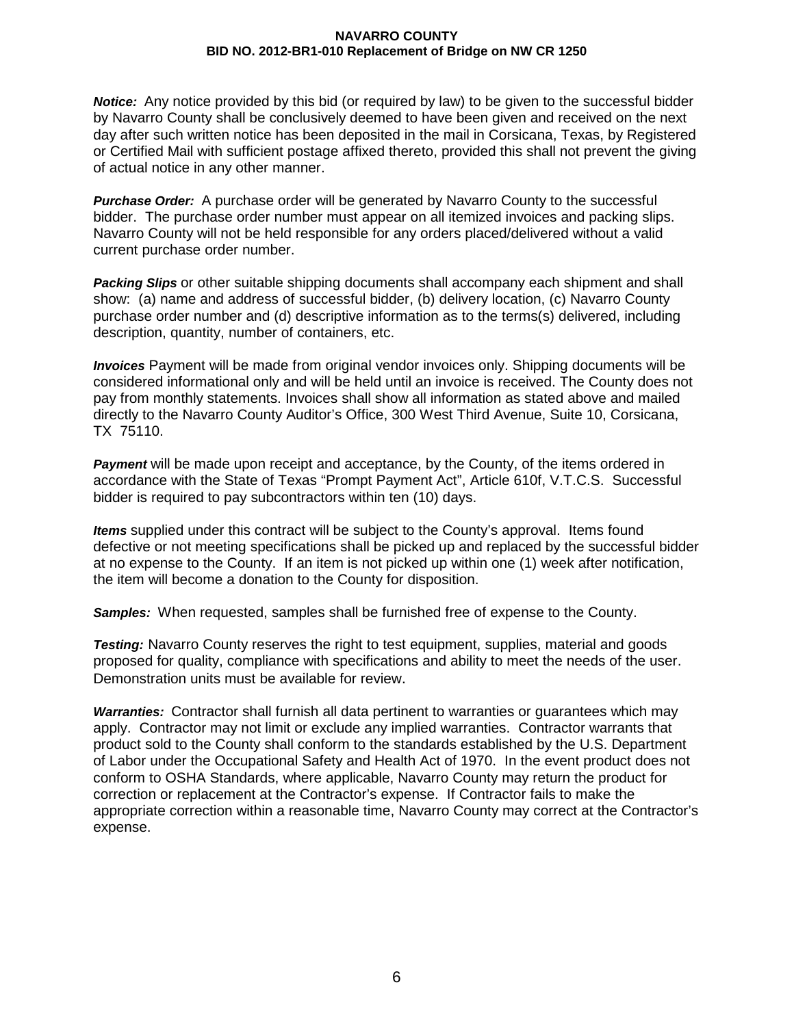*Notice:* Any notice provided by this bid (or required by law) to be given to the successful bidder by Navarro County shall be conclusively deemed to have been given and received on the next day after such written notice has been deposited in the mail in Corsicana, Texas, by Registered or Certified Mail with sufficient postage affixed thereto, provided this shall not prevent the giving of actual notice in any other manner.

*Purchase Order:* A purchase order will be generated by Navarro County to the successful bidder. The purchase order number must appear on all itemized invoices and packing slips. Navarro County will not be held responsible for any orders placed/delivered without a valid current purchase order number.

*Packing Slips* or other suitable shipping documents shall accompany each shipment and shall show: (a) name and address of successful bidder, (b) delivery location, (c) Navarro County purchase order number and (d) descriptive information as to the terms(s) delivered, including description, quantity, number of containers, etc.

*Invoices* Payment will be made from original vendor invoices only. Shipping documents will be considered informational only and will be held until an invoice is received. The County does not pay from monthly statements. Invoices shall show all information as stated above and mailed directly to the Navarro County Auditor's Office, 300 West Third Avenue, Suite 10, Corsicana, TX 75110.

*Payment* will be made upon receipt and acceptance, by the County, of the items ordered in accordance with the State of Texas "Prompt Payment Act", Article 610f, V.T.C.S. Successful bidder is required to pay subcontractors within ten (10) days.

*Items* supplied under this contract will be subject to the County's approval. Items found defective or not meeting specifications shall be picked up and replaced by the successful bidder at no expense to the County. If an item is not picked up within one (1) week after notification, the item will become a donation to the County for disposition.

*Samples:* When requested, samples shall be furnished free of expense to the County.

**Testing:** Navarro County reserves the right to test equipment, supplies, material and goods proposed for quality, compliance with specifications and ability to meet the needs of the user. Demonstration units must be available for review.

*Warranties:* Contractor shall furnish all data pertinent to warranties or guarantees which may apply. Contractor may not limit or exclude any implied warranties. Contractor warrants that product sold to the County shall conform to the standards established by the U.S. Department of Labor under the Occupational Safety and Health Act of 1970. In the event product does not conform to OSHA Standards, where applicable, Navarro County may return the product for correction or replacement at the Contractor's expense. If Contractor fails to make the appropriate correction within a reasonable time, Navarro County may correct at the Contractor's expense.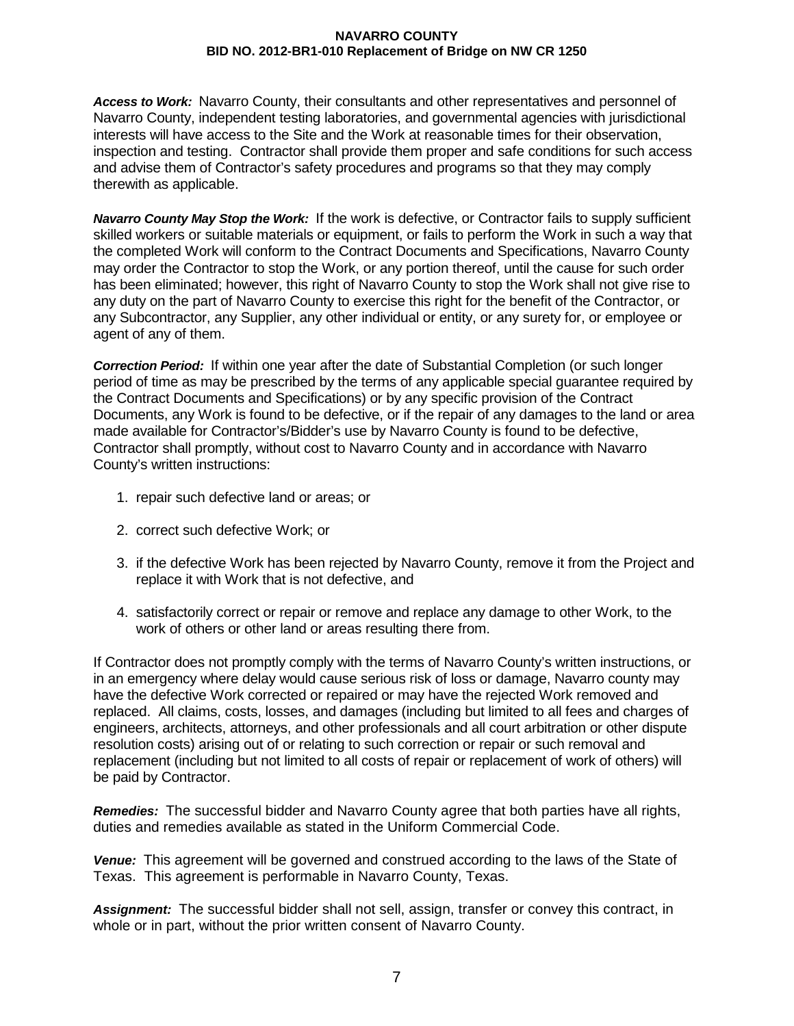*Access to Work:* Navarro County, their consultants and other representatives and personnel of Navarro County, independent testing laboratories, and governmental agencies with jurisdictional interests will have access to the Site and the Work at reasonable times for their observation, inspection and testing. Contractor shall provide them proper and safe conditions for such access and advise them of Contractor's safety procedures and programs so that they may comply therewith as applicable.

*Navarro County May Stop the Work:* If the work is defective, or Contractor fails to supply sufficient skilled workers or suitable materials or equipment, or fails to perform the Work in such a way that the completed Work will conform to the Contract Documents and Specifications, Navarro County may order the Contractor to stop the Work, or any portion thereof, until the cause for such order has been eliminated; however, this right of Navarro County to stop the Work shall not give rise to any duty on the part of Navarro County to exercise this right for the benefit of the Contractor, or any Subcontractor, any Supplier, any other individual or entity, or any surety for, or employee or agent of any of them.

*Correction Period:* If within one year after the date of Substantial Completion (or such longer period of time as may be prescribed by the terms of any applicable special guarantee required by the Contract Documents and Specifications) or by any specific provision of the Contract Documents, any Work is found to be defective, or if the repair of any damages to the land or area made available for Contractor's/Bidder's use by Navarro County is found to be defective, Contractor shall promptly, without cost to Navarro County and in accordance with Navarro County's written instructions:

- 1. repair such defective land or areas; or
- 2. correct such defective Work; or
- 3. if the defective Work has been rejected by Navarro County, remove it from the Project and replace it with Work that is not defective, and
- 4. satisfactorily correct or repair or remove and replace any damage to other Work, to the work of others or other land or areas resulting there from.

If Contractor does not promptly comply with the terms of Navarro County's written instructions, or in an emergency where delay would cause serious risk of loss or damage, Navarro county may have the defective Work corrected or repaired or may have the rejected Work removed and replaced. All claims, costs, losses, and damages (including but limited to all fees and charges of engineers, architects, attorneys, and other professionals and all court arbitration or other dispute resolution costs) arising out of or relating to such correction or repair or such removal and replacement (including but not limited to all costs of repair or replacement of work of others) will be paid by Contractor.

*Remedies:* The successful bidder and Navarro County agree that both parties have all rights, duties and remedies available as stated in the Uniform Commercial Code.

*Venue:* This agreement will be governed and construed according to the laws of the State of Texas. This agreement is performable in Navarro County, Texas.

*Assignment:* The successful bidder shall not sell, assign, transfer or convey this contract, in whole or in part, without the prior written consent of Navarro County.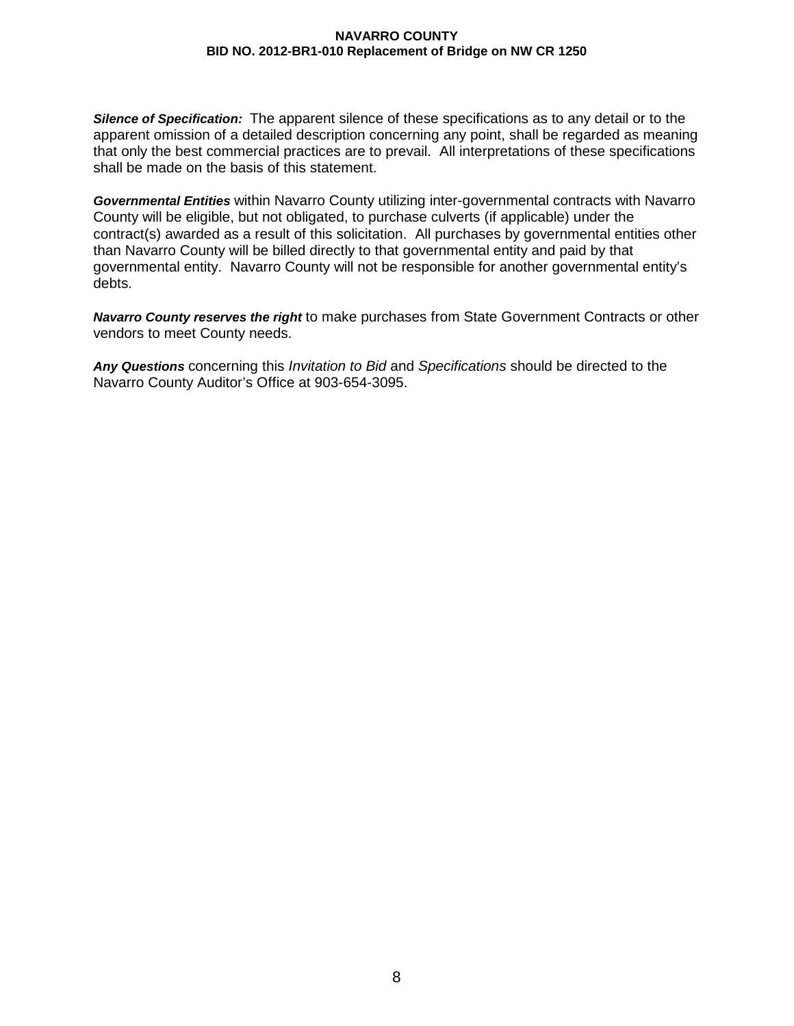*Silence of Specification:* The apparent silence of these specifications as to any detail or to the apparent omission of a detailed description concerning any point, shall be regarded as meaning that only the best commercial practices are to prevail. All interpretations of these specifications shall be made on the basis of this statement.

*Governmental Entities* within Navarro County utilizing inter-governmental contracts with Navarro County will be eligible, but not obligated, to purchase culverts (if applicable) under the contract(s) awarded as a result of this solicitation. All purchases by governmental entities other than Navarro County will be billed directly to that governmental entity and paid by that governmental entity. Navarro County will not be responsible for another governmental entity's debts.

*Navarro County reserves the right* to make purchases from State Government Contracts or other vendors to meet County needs.

*Any Questions* concerning this *Invitation to Bid* and *Specifications* should be directed to the Navarro County Auditor's Office at 903-654-3095.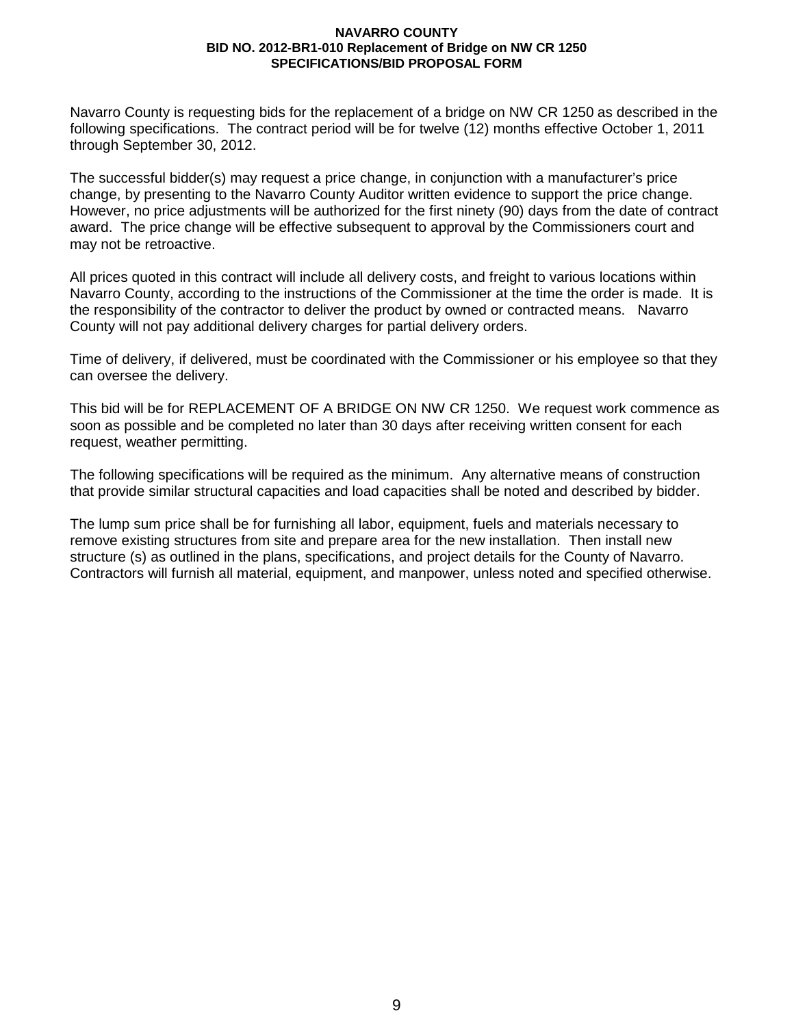Navarro County is requesting bids for the replacement of a bridge on NW CR 1250 as described in the following specifications. The contract period will be for twelve (12) months effective October 1, 2011 through September 30, 2012.

The successful bidder(s) may request a price change, in conjunction with a manufacturer's price change, by presenting to the Navarro County Auditor written evidence to support the price change. However, no price adjustments will be authorized for the first ninety (90) days from the date of contract award. The price change will be effective subsequent to approval by the Commissioners court and may not be retroactive.

All prices quoted in this contract will include all delivery costs, and freight to various locations within Navarro County, according to the instructions of the Commissioner at the time the order is made. It is the responsibility of the contractor to deliver the product by owned or contracted means. Navarro County will not pay additional delivery charges for partial delivery orders.

Time of delivery, if delivered, must be coordinated with the Commissioner or his employee so that they can oversee the delivery.

This bid will be for REPLACEMENT OF A BRIDGE ON NW CR 1250. We request work commence as soon as possible and be completed no later than 30 days after receiving written consent for each request, weather permitting.

The following specifications will be required as the minimum. Any alternative means of construction that provide similar structural capacities and load capacities shall be noted and described by bidder.

The lump sum price shall be for furnishing all labor, equipment, fuels and materials necessary to remove existing structures from site and prepare area for the new installation. Then install new structure (s) as outlined in the plans, specifications, and project details for the County of Navarro. Contractors will furnish all material, equipment, and manpower, unless noted and specified otherwise.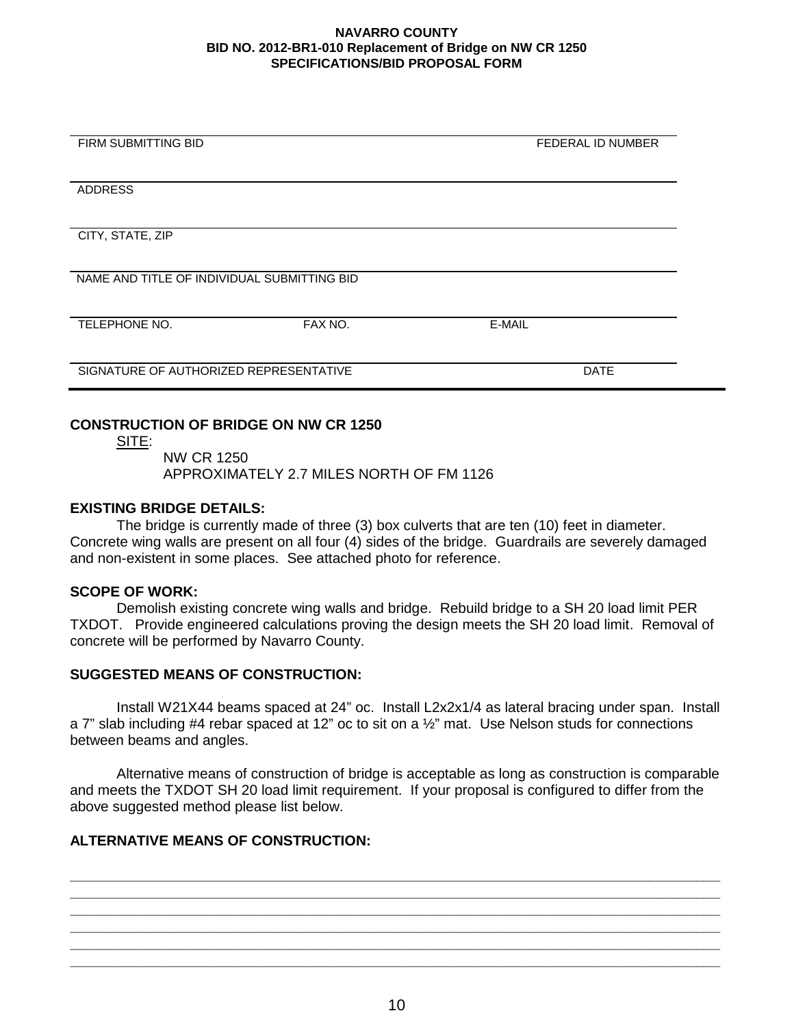| <b>FIRM SUBMITTING BID</b>                  |         | <b>FEDERAL ID NUMBER</b> |  |
|---------------------------------------------|---------|--------------------------|--|
|                                             |         |                          |  |
| <b>ADDRESS</b>                              |         |                          |  |
|                                             |         |                          |  |
| CITY, STATE, ZIP                            |         |                          |  |
|                                             |         |                          |  |
| NAME AND TITLE OF INDIVIDUAL SUBMITTING BID |         |                          |  |
|                                             |         |                          |  |
| TELEPHONE NO.                               | FAX NO. | E-MAIL                   |  |
|                                             |         |                          |  |
| SIGNATURE OF AUTHORIZED REPRESENTATIVE      |         | <b>DATE</b>              |  |
|                                             |         |                          |  |

## **CONSTRUCTION OF BRIDGE ON NW CR 1250**

<u>SITE:</u>

NW CR 1250 APPROXIMATELY 2.7 MILES NORTH OF FM 1126

## **EXISTING BRIDGE DETAILS:**

The bridge is currently made of three (3) box culverts that are ten (10) feet in diameter. Concrete wing walls are present on all four (4) sides of the bridge. Guardrails are severely damaged and non-existent in some places. See attached photo for reference.

## **SCOPE OF WORK:**

Demolish existing concrete wing walls and bridge. Rebuild bridge to a SH 20 load limit PER TXDOT. Provide engineered calculations proving the design meets the SH 20 load limit. Removal of concrete will be performed by Navarro County.

## **SUGGESTED MEANS OF CONSTRUCTION:**

Install W21X44 beams spaced at 24" oc. Install L2x2x1/4 as lateral bracing under span. Install a 7" slab including #4 rebar spaced at 12" oc to sit on a ½" mat. Use Nelson studs for connections between beams and angles.

Alternative means of construction of bridge is acceptable as long as construction is comparable and meets the TXDOT SH 20 load limit requirement. If your proposal is configured to differ from the above suggested method please list below.

**\_\_\_\_\_\_\_\_\_\_\_\_\_\_\_\_\_\_\_\_\_\_\_\_\_\_\_\_\_\_\_\_\_\_\_\_\_\_\_\_\_\_\_\_\_\_\_\_\_\_\_\_\_\_\_\_\_\_\_\_\_\_\_\_\_\_\_\_\_\_\_\_\_\_\_\_\_\_\_\_\_\_ \_\_\_\_\_\_\_\_\_\_\_\_\_\_\_\_\_\_\_\_\_\_\_\_\_\_\_\_\_\_\_\_\_\_\_\_\_\_\_\_\_\_\_\_\_\_\_\_\_\_\_\_\_\_\_\_\_\_\_\_\_\_\_\_\_\_\_\_\_\_\_\_\_\_\_\_\_\_\_\_\_\_ \_\_\_\_\_\_\_\_\_\_\_\_\_\_\_\_\_\_\_\_\_\_\_\_\_\_\_\_\_\_\_\_\_\_\_\_\_\_\_\_\_\_\_\_\_\_\_\_\_\_\_\_\_\_\_\_\_\_\_\_\_\_\_\_\_\_\_\_\_\_\_\_\_\_\_\_\_\_\_\_\_\_ \_\_\_\_\_\_\_\_\_\_\_\_\_\_\_\_\_\_\_\_\_\_\_\_\_\_\_\_\_\_\_\_\_\_\_\_\_\_\_\_\_\_\_\_\_\_\_\_\_\_\_\_\_\_\_\_\_\_\_\_\_\_\_\_\_\_\_\_\_\_\_\_\_\_\_\_\_\_\_\_\_\_ \_\_\_\_\_\_\_\_\_\_\_\_\_\_\_\_\_\_\_\_\_\_\_\_\_\_\_\_\_\_\_\_\_\_\_\_\_\_\_\_\_\_\_\_\_\_\_\_\_\_\_\_\_\_\_\_\_\_\_\_\_\_\_\_\_\_\_\_\_\_\_\_\_\_\_\_\_\_\_\_\_\_ \_\_\_\_\_\_\_\_\_\_\_\_\_\_\_\_\_\_\_\_\_\_\_\_\_\_\_\_\_\_\_\_\_\_\_\_\_\_\_\_\_\_\_\_\_\_\_\_\_\_\_\_\_\_\_\_\_\_\_\_\_\_\_\_\_\_\_\_\_\_\_\_\_\_\_\_\_\_\_\_\_\_**

## **ALTERNATIVE MEANS OF CONSTRUCTION:**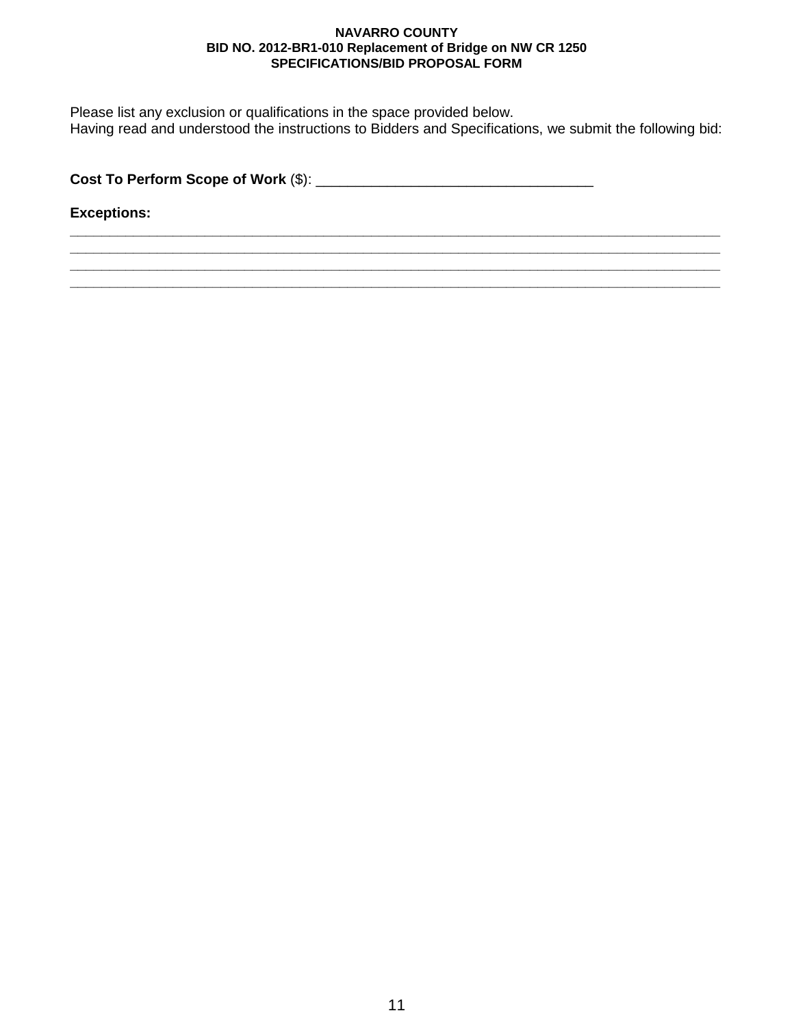Please list any exclusion or qualifications in the space provided below. Having read and understood the instructions to Bidders and Specifications, we submit the following bid:

**\_\_\_\_\_\_\_\_\_\_\_\_\_\_\_\_\_\_\_\_\_\_\_\_\_\_\_\_\_\_\_\_\_\_\_\_\_\_\_\_\_\_\_\_\_\_\_\_\_\_\_\_\_\_\_\_\_\_\_\_\_\_\_\_\_\_\_\_\_\_\_\_\_\_\_\_\_\_\_\_\_\_ \_\_\_\_\_\_\_\_\_\_\_\_\_\_\_\_\_\_\_\_\_\_\_\_\_\_\_\_\_\_\_\_\_\_\_\_\_\_\_\_\_\_\_\_\_\_\_\_\_\_\_\_\_\_\_\_\_\_\_\_\_\_\_\_\_\_\_\_\_\_\_\_\_\_\_\_\_\_\_\_\_\_ \_\_\_\_\_\_\_\_\_\_\_\_\_\_\_\_\_\_\_\_\_\_\_\_\_\_\_\_\_\_\_\_\_\_\_\_\_\_\_\_\_\_\_\_\_\_\_\_\_\_\_\_\_\_\_\_\_\_\_\_\_\_\_\_\_\_\_\_\_\_\_\_\_\_\_\_\_\_\_\_\_\_ \_\_\_\_\_\_\_\_\_\_\_\_\_\_\_\_\_\_\_\_\_\_\_\_\_\_\_\_\_\_\_\_\_\_\_\_\_\_\_\_\_\_\_\_\_\_\_\_\_\_\_\_\_\_\_\_\_\_\_\_\_\_\_\_\_\_\_\_\_\_\_\_\_\_\_\_\_\_\_\_\_\_**

**Cost To Perform Scope of Work** (\$): \_\_\_\_\_\_\_\_\_\_\_\_\_\_\_\_\_\_\_\_\_\_\_\_\_\_\_\_\_\_\_\_\_\_\_

**Exceptions:**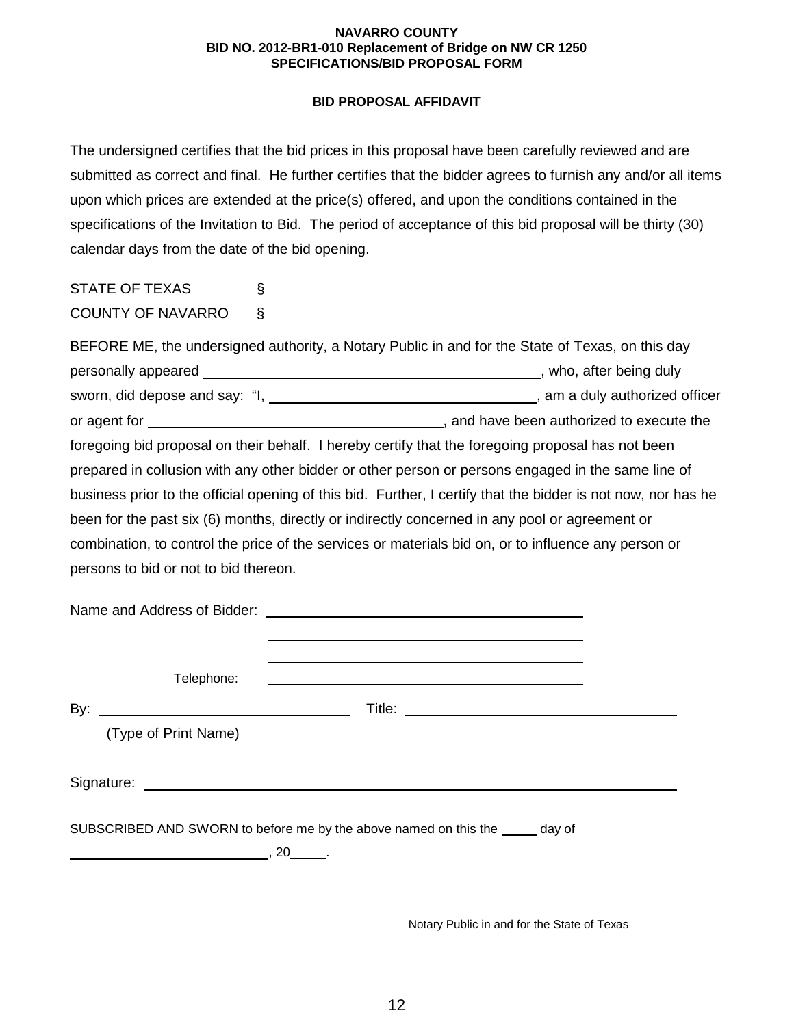## **BID PROPOSAL AFFIDAVIT**

The undersigned certifies that the bid prices in this proposal have been carefully reviewed and are submitted as correct and final. He further certifies that the bidder agrees to furnish any and/or all items upon which prices are extended at the price(s) offered, and upon the conditions contained in the specifications of the Invitation to Bid. The period of acceptance of this bid proposal will be thirty (30) calendar days from the date of the bid opening.

# STATE OF TEXAS § COUNTY OF NAVARRO §

| BEFORE ME, the undersigned authority, a Notary Public in and for the State of Texas, on this day              |                                             |
|---------------------------------------------------------------------------------------------------------------|---------------------------------------------|
|                                                                                                               | , who, after being duly                     |
|                                                                                                               |                                             |
|                                                                                                               | __, and have been authorized to execute the |
| foregoing bid proposal on their behalf. I hereby certify that the foregoing proposal has not been             |                                             |
| prepared in collusion with any other bidder or other person or persons engaged in the same line of            |                                             |
| business prior to the official opening of this bid. Further, I certify that the bidder is not now, nor has he |                                             |
| been for the past six (6) months, directly or indirectly concerned in any pool or agreement or                |                                             |
| combination, to control the price of the services or materials bid on, or to influence any person or          |                                             |
| persons to bid or not to bid thereon.                                                                         |                                             |

|     | Telephone:                                                                           | <u> 1989 - Andrea Stadt Britain, amerikansk politik (d. 1989)</u>             |  |
|-----|--------------------------------------------------------------------------------------|-------------------------------------------------------------------------------|--|
| By: |                                                                                      |                                                                               |  |
|     | (Type of Print Name)                                                                 |                                                                               |  |
|     |                                                                                      |                                                                               |  |
|     |                                                                                      | SUBSCRIBED AND SWORN to before me by the above named on this the _____ day of |  |
|     | $\overline{\phantom{a}}$ , 20 $\overline{\phantom{a}}$ , 20 $\overline{\phantom{a}}$ |                                                                               |  |

Notary Public in and for the State of Texas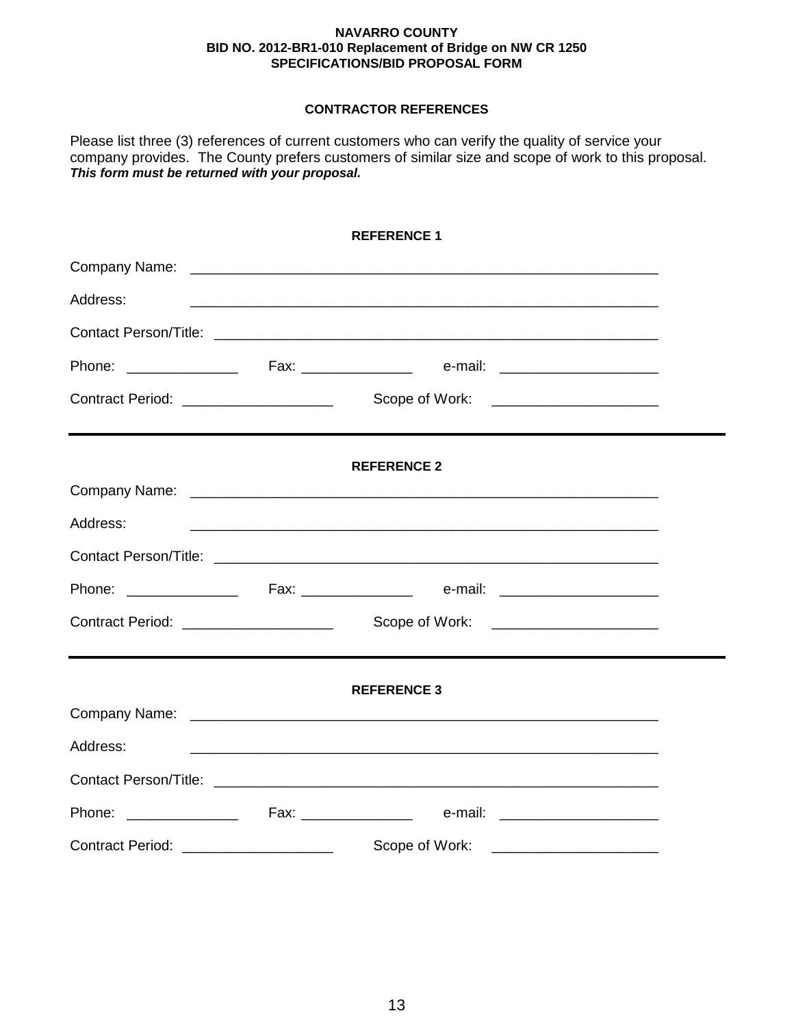## **CONTRACTOR REFERENCES**

Please list three (3) references of current customers who can verify the quality of service your company provides. The County prefers customers of similar size and scope of work to this proposal. *This form must be returned with your proposal.*

|                                       | <b>REFERENCE 1</b>                                                                                                    |  |
|---------------------------------------|-----------------------------------------------------------------------------------------------------------------------|--|
|                                       |                                                                                                                       |  |
| Address:                              | <u> 1989 - Johann Stoff, amerikansk politiker (d. 1989)</u>                                                           |  |
|                                       |                                                                                                                       |  |
|                                       |                                                                                                                       |  |
|                                       |                                                                                                                       |  |
|                                       | <b>REFERENCE 2</b>                                                                                                    |  |
|                                       |                                                                                                                       |  |
| Address:                              |                                                                                                                       |  |
|                                       |                                                                                                                       |  |
|                                       |                                                                                                                       |  |
|                                       |                                                                                                                       |  |
|                                       | <b>REFERENCE 3</b>                                                                                                    |  |
|                                       |                                                                                                                       |  |
| Address:                              | <u> 1999 - Johann Harry Harry Harry Harry Harry Harry Harry Harry Harry Harry Harry Harry Harry Harry Harry Harry</u> |  |
|                                       |                                                                                                                       |  |
|                                       |                                                                                                                       |  |
| Contract Period: ____________________ |                                                                                                                       |  |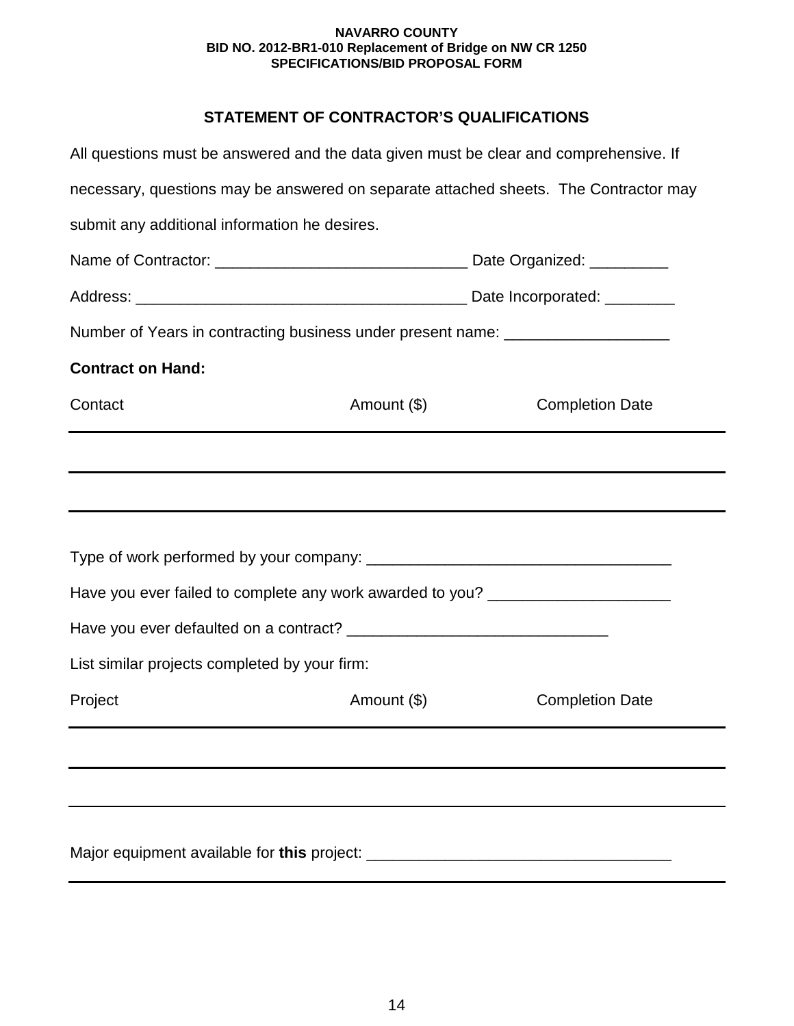## **STATEMENT OF CONTRACTOR'S QUALIFICATIONS**

| All questions must be answered and the data given must be clear and comprehensive. If |             |                        |
|---------------------------------------------------------------------------------------|-------------|------------------------|
| necessary, questions may be answered on separate attached sheets. The Contractor may  |             |                        |
| submit any additional information he desires.                                         |             |                        |
|                                                                                       |             |                        |
|                                                                                       |             |                        |
| Number of Years in contracting business under present name: ____________________      |             |                        |
| <b>Contract on Hand:</b>                                                              |             |                        |
| Contact                                                                               | Amount (\$) | <b>Completion Date</b> |
|                                                                                       |             |                        |
|                                                                                       |             |                        |
|                                                                                       |             |                        |
|                                                                                       |             |                        |
| Have you ever failed to complete any work awarded to you? ______________________      |             |                        |
|                                                                                       |             |                        |
| List similar projects completed by your firm:                                         |             |                        |
| Project                                                                               | Amount (\$) | <b>Completion Date</b> |
|                                                                                       |             |                        |
|                                                                                       |             |                        |
|                                                                                       |             |                        |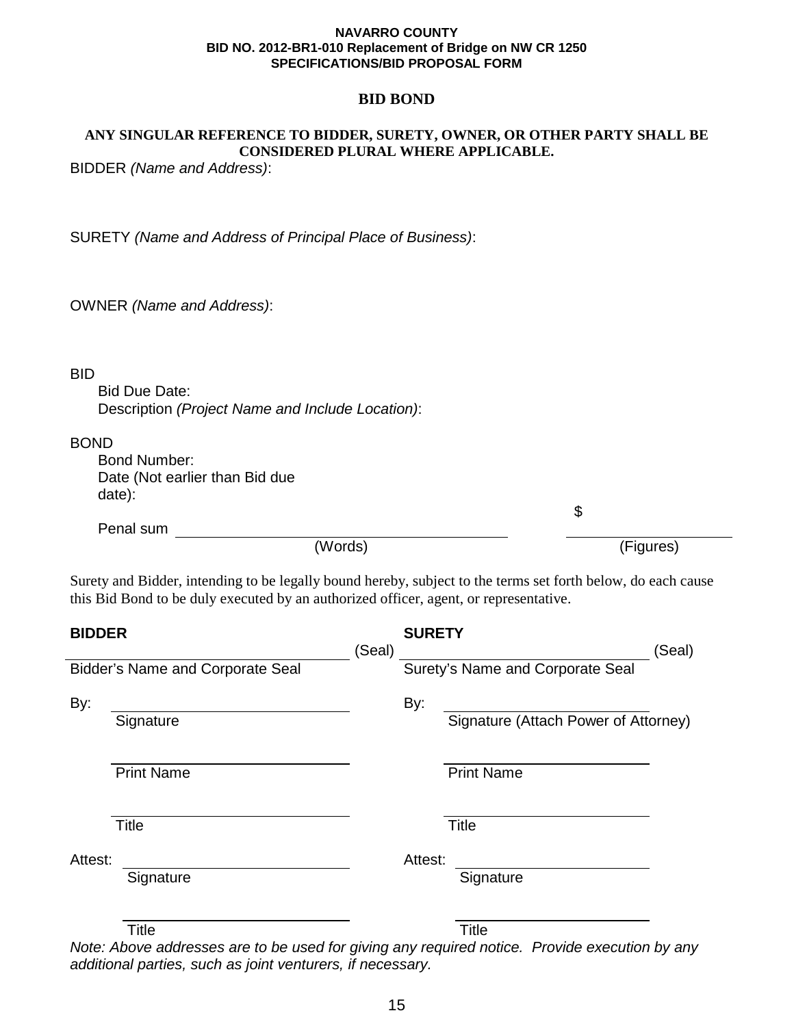## **BID BOND**

## **ANY SINGULAR REFERENCE TO BIDDER, SURETY, OWNER, OR OTHER PARTY SHALL BE CONSIDERED PLURAL WHERE APPLICABLE.**

BIDDER *(Name and Address)*:

SURETY *(Name and Address of Principal Place of Business)*:

OWNER *(Name and Address)*:

## BID

Bid Due Date: Description *(Project Name and Include Location)*:

## BOND

| Bond Number:                   |
|--------------------------------|
| Date (Not earlier than Bid due |
| date):                         |

Penal sum

\$

(Words) (Figures)

Surety and Bidder, intending to be legally bound hereby, subject to the terms set forth below, do each cause this Bid Bond to be duly executed by an authorized officer, agent, or representative.

| <b>BIDDER</b> |                                         |        | <b>SURETY</b> |                                      |        |
|---------------|-----------------------------------------|--------|---------------|--------------------------------------|--------|
|               |                                         | (Seal) |               |                                      | (Seal) |
|               | <b>Bidder's Name and Corporate Seal</b> |        |               | Surety's Name and Corporate Seal     |        |
| By:           |                                         |        | By:           |                                      |        |
|               | Signature                               |        |               | Signature (Attach Power of Attorney) |        |
|               | <b>Print Name</b>                       |        |               | <b>Print Name</b>                    |        |
|               | <b>Title</b>                            |        |               | <b>Title</b>                         |        |
| Attest:       |                                         |        | Attest:       |                                      |        |
|               | Signature                               |        |               | Signature                            |        |
|               | Title                                   |        |               | <b>Title</b>                         |        |

*Note: Above addresses are to be used for giving any required notice. Provide execution by any additional parties, such as joint venturers, if necessary.*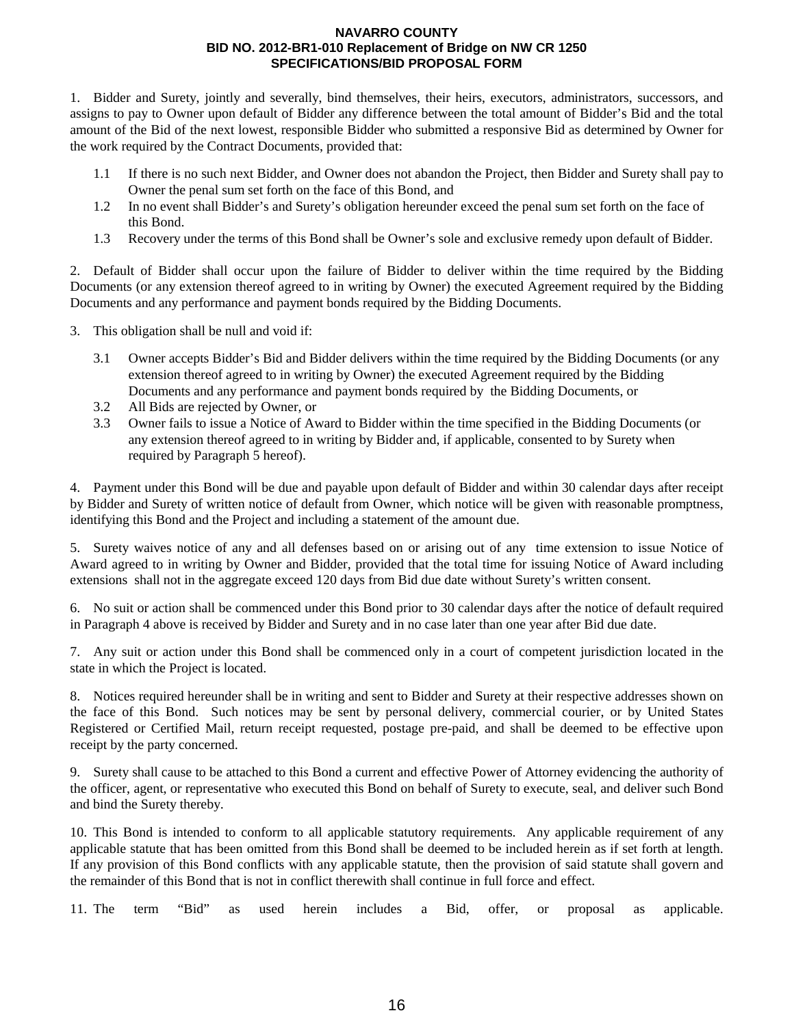1. Bidder and Surety, jointly and severally, bind themselves, their heirs, executors, administrators, successors, and assigns to pay to Owner upon default of Bidder any difference between the total amount of Bidder's Bid and the total amount of the Bid of the next lowest, responsible Bidder who submitted a responsive Bid as determined by Owner for the work required by the Contract Documents, provided that:

- 1.1 If there is no such next Bidder, and Owner does not abandon the Project, then Bidder and Surety shall pay to Owner the penal sum set forth on the face of this Bond, and
- 1.2 In no event shall Bidder's and Surety's obligation hereunder exceed the penal sum set forth on the face of this Bond.
- 1.3 Recovery under the terms of this Bond shall be Owner's sole and exclusive remedy upon default of Bidder.

2. Default of Bidder shall occur upon the failure of Bidder to deliver within the time required by the Bidding Documents (or any extension thereof agreed to in writing by Owner) the executed Agreement required by the Bidding Documents and any performance and payment bonds required by the Bidding Documents.

- 3. This obligation shall be null and void if:
	- 3.1 Owner accepts Bidder's Bid and Bidder delivers within the time required by the Bidding Documents (or any extension thereof agreed to in writing by Owner) the executed Agreement required by the Bidding Documents and any performance and payment bonds required by the Bidding Documents, or
	- 3.2 All Bids are rejected by Owner, or
	- 3.3 Owner fails to issue a Notice of Award to Bidder within the time specified in the Bidding Documents (or any extension thereof agreed to in writing by Bidder and, if applicable, consented to by Surety when required by Paragraph 5 hereof).

4. Payment under this Bond will be due and payable upon default of Bidder and within 30 calendar days after receipt by Bidder and Surety of written notice of default from Owner, which notice will be given with reasonable promptness, identifying this Bond and the Project and including a statement of the amount due.

5. Surety waives notice of any and all defenses based on or arising out of any time extension to issue Notice of Award agreed to in writing by Owner and Bidder, provided that the total time for issuing Notice of Award including extensions shall not in the aggregate exceed 120 days from Bid due date without Surety's written consent.

6. No suit or action shall be commenced under this Bond prior to 30 calendar days after the notice of default required in Paragraph 4 above is received by Bidder and Surety and in no case later than one year after Bid due date.

7. Any suit or action under this Bond shall be commenced only in a court of competent jurisdiction located in the state in which the Project is located.

8. Notices required hereunder shall be in writing and sent to Bidder and Surety at their respective addresses shown on the face of this Bond. Such notices may be sent by personal delivery, commercial courier, or by United States Registered or Certified Mail, return receipt requested, postage pre-paid, and shall be deemed to be effective upon receipt by the party concerned.

9. Surety shall cause to be attached to this Bond a current and effective Power of Attorney evidencing the authority of the officer, agent, or representative who executed this Bond on behalf of Surety to execute, seal, and deliver such Bond and bind the Surety thereby.

10. This Bond is intended to conform to all applicable statutory requirements. Any applicable requirement of any applicable statute that has been omitted from this Bond shall be deemed to be included herein as if set forth at length. If any provision of this Bond conflicts with any applicable statute, then the provision of said statute shall govern and the remainder of this Bond that is not in conflict therewith shall continue in full force and effect.

11. The term "Bid" as used herein includes a Bid, offer, or proposal as applicable.